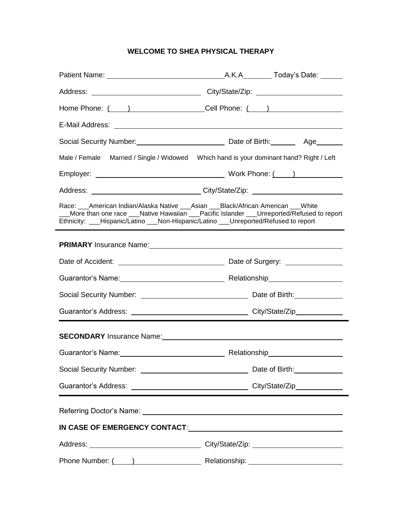## **WELCOME TO SHEA PHYSICAL THERAPY**

|                                                                                                                                                                                                                                                                         | Home Phone: ( ) _____________________________Cell Phone: ( ) ___________________                                                                                                                                                          |  |  |  |
|-------------------------------------------------------------------------------------------------------------------------------------------------------------------------------------------------------------------------------------------------------------------------|-------------------------------------------------------------------------------------------------------------------------------------------------------------------------------------------------------------------------------------------|--|--|--|
|                                                                                                                                                                                                                                                                         |                                                                                                                                                                                                                                           |  |  |  |
|                                                                                                                                                                                                                                                                         |                                                                                                                                                                                                                                           |  |  |  |
|                                                                                                                                                                                                                                                                         | Male / Female Married / Single / Widowed Which hand is your dominant hand? Right / Left                                                                                                                                                   |  |  |  |
|                                                                                                                                                                                                                                                                         |                                                                                                                                                                                                                                           |  |  |  |
|                                                                                                                                                                                                                                                                         | Address: ______________________________City/State/Zip: _________________________                                                                                                                                                          |  |  |  |
| Race: ___American Indian/Alaska Native ___Asian ___Black/African American ___White<br>More than one race ___Native Hawaiian ___Pacific Islander ___Unreported/Refused to report<br>Ethnicity: ___Hispanic/Latino ___Non-Hispanic/Latino ___Unreported/Refused to report |                                                                                                                                                                                                                                           |  |  |  |
|                                                                                                                                                                                                                                                                         | <b>PRIMARY</b> Insurance Name: <b>All According to the Contract Oriental According to the Contract Oriental According to the Contract Oriental According to the Contract Oriental According to the Contract Oriental According to the</b> |  |  |  |
|                                                                                                                                                                                                                                                                         |                                                                                                                                                                                                                                           |  |  |  |
|                                                                                                                                                                                                                                                                         |                                                                                                                                                                                                                                           |  |  |  |
|                                                                                                                                                                                                                                                                         |                                                                                                                                                                                                                                           |  |  |  |
|                                                                                                                                                                                                                                                                         |                                                                                                                                                                                                                                           |  |  |  |
|                                                                                                                                                                                                                                                                         | SECONDARY Insurance Name: Mannell Anna Management Control and Management Control and Management Control and Ma                                                                                                                            |  |  |  |
|                                                                                                                                                                                                                                                                         |                                                                                                                                                                                                                                           |  |  |  |
| Social Security Number: \\contact \\contact \\contact \\contact \\contact \\contact \\contact \\contact \\conta                                                                                                                                                         | Date of Birth: _____________                                                                                                                                                                                                              |  |  |  |
|                                                                                                                                                                                                                                                                         |                                                                                                                                                                                                                                           |  |  |  |
|                                                                                                                                                                                                                                                                         |                                                                                                                                                                                                                                           |  |  |  |
|                                                                                                                                                                                                                                                                         |                                                                                                                                                                                                                                           |  |  |  |
|                                                                                                                                                                                                                                                                         |                                                                                                                                                                                                                                           |  |  |  |
|                                                                                                                                                                                                                                                                         |                                                                                                                                                                                                                                           |  |  |  |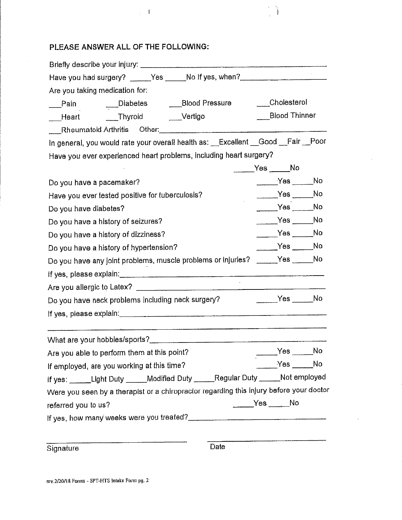## PLEASE ANSWER ALL OF THE FOLLOWING:

 $\frac{1}{4}$  . <br> <br> 1

 $\frac{1}{\sqrt{2}}$  $\epsilon$ 

| Have you had surgery? _____Yes _____No If yes, when? ___________________________                               |                      |  |  |  |
|----------------------------------------------------------------------------------------------------------------|----------------------|--|--|--|
| Are you taking medication for:                                                                                 |                      |  |  |  |
| Pain ____Diabetes _____Blood Pressure ____Cholesterol                                                          |                      |  |  |  |
| ___Heart _____Thyroid _____Vertigo                                                                             | <b>Blood Thinner</b> |  |  |  |
| Rheumatoid Arthritis Other: Manual Communication of the Communication of the Rheumatoid Arthritis              |                      |  |  |  |
| In general, you would rate your overall health as: __Excellent __Good __Fair __Poor                            |                      |  |  |  |
| Have you ever experienced heart problems, including heart surgery?                                             |                      |  |  |  |
|                                                                                                                | $Yes$ No             |  |  |  |
| Do you have a pacemaker?                                                                                       | ______Yes _____No    |  |  |  |
| Have you ever tested positive for tuberculosis?                                                                | $Yes$ No             |  |  |  |
| Do you have diabetes?                                                                                          | $Yes$ No             |  |  |  |
| Do you have a history of seizures?                                                                             | $Yes$ No             |  |  |  |
| Do you have a history of dizziness?                                                                            | $Yes$ No             |  |  |  |
| Do you have a history of hypertension?                                                                         | $Yes$ No             |  |  |  |
| Do you have any joint problems, muscle problems or injuries? _____Yes _____No                                  |                      |  |  |  |
|                                                                                                                |                      |  |  |  |
|                                                                                                                |                      |  |  |  |
| Do you have neck problems including neck surgery?                                                              | ______Yes _____No    |  |  |  |
| If yes, please explain: www.communication.com/www.communications.com/www.communications.com/www.communications |                      |  |  |  |
|                                                                                                                |                      |  |  |  |
| Are you able to perform them at this point? The manufacturer of the set of the No                              |                      |  |  |  |
| If employed, are you working at this time?                                                                     | $Yes$ No             |  |  |  |
| If yes: ______Light Duty ______Modified Duty ______Regular Duty ______Not employed                             |                      |  |  |  |
| Were you seen by a therapist or a chiropractor regarding this injury before your doctor                        |                      |  |  |  |
| referred you to us?                                                                                            | $Yes$ No             |  |  |  |
| If yes, how many weeks were you treated?                                                                       |                      |  |  |  |
| Signature                                                                                                      | Date                 |  |  |  |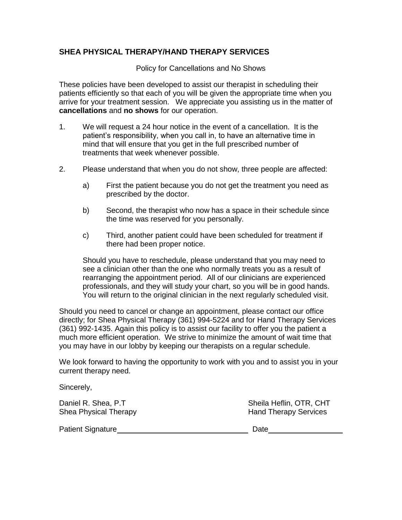### **SHEA PHYSICAL THERAPY/HAND THERAPY SERVICES**

Policy for Cancellations and No Shows

These policies have been developed to assist our therapist in scheduling their patients efficiently so that each of you will be given the appropriate time when you arrive for your treatment session. We appreciate you assisting us in the matter of **cancellations** and **no shows** for our operation.

- 1. We will request a 24 hour notice in the event of a cancellation. It is the patient's responsibility, when you call in, to have an alternative time in mind that will ensure that you get in the full prescribed number of treatments that week whenever possible.
- 2. Please understand that when you do not show, three people are affected:
	- a) First the patient because you do not get the treatment you need as prescribed by the doctor.
	- b) Second, the therapist who now has a space in their schedule since the time was reserved for you personally.
	- c) Third, another patient could have been scheduled for treatment if there had been proper notice.

Should you have to reschedule, please understand that you may need to see a clinician other than the one who normally treats you as a result of rearranging the appointment period. All of our clinicians are experienced professionals, and they will study your chart, so you will be in good hands. You will return to the original clinician in the next regularly scheduled visit.

Should you need to cancel or change an appointment, please contact our office directly; for Shea Physical Therapy (361) 994-5224 and for Hand Therapy Services (361) 992-1435. Again this policy is to assist our facility to offer you the patient a much more efficient operation. We strive to minimize the amount of wait time that you may have in our lobby by keeping our therapists on a regular schedule.

We look forward to having the opportunity to work with you and to assist you in your current therapy need.

Sincerely,

Daniel R. Shea, P.T Sheila Heflin, OTR, CHT Shea Physical Therapy **Hand Therapy Services** 

Patient Signature Date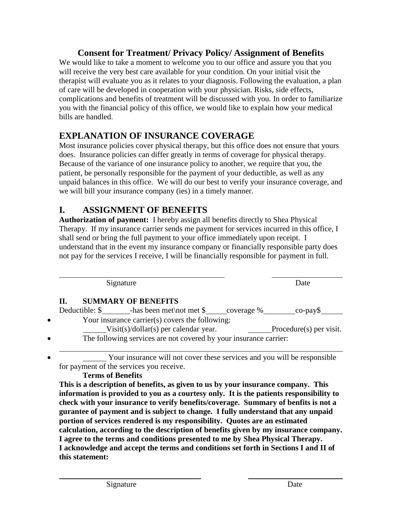## **Consent for Treatment/ Privacy Policy/ Assignment of Benefits**

We would like to take a moment to welcome you to our office and assure you that you will receive the very best care available for your condition. On your initial visit the therapist will evaluate you as it relates to your diagnosis. Following the evaluation, a plan of care will be developed in cooperation with your physician. Risks, side effects, complications and benefits of treatment will be discussed with you. In order to familiarize you with the financial policy of this office, we would like to explain how your medical bills are handled.

# **EXPLANATION OF INSURANCE COVERAGE**

Most insurance policies cover physical therapy, but this office does not ensure that yours does. Insurance policies can differ greatly in terms of coverage for physical therapy. Because of the variance of one insurance policy to another, we require that you, the patient, be personally responsible for the payment of your deductible, as well as any unpaid balances in this office. We will do our best to verify your insurance coverage, and we will bill your insurance company (ies) in a timely manner.

## **I. ASSIGNMENT OF BENEFITS**

**Authorization of payment:** I hereby assign all benefits directly to Shea Physical Therapy. If my insurance carrier sends me payment for services incurred in this office, I shall send or bring the full payment to your office immediately upon receipt. I understand that in the event my insurance company or financially responsible party does not pay for the services I receive, I will be financially responsible for payment in full.

|           | Signature                                                                                                            | Date                     |
|-----------|----------------------------------------------------------------------------------------------------------------------|--------------------------|
|           | <b>SUMMARY OF BENEFITS</b><br>II.                                                                                    |                          |
|           |                                                                                                                      |                          |
| $\bullet$ | Your insurance carrier(s) covers the following:                                                                      |                          |
|           | $Visit(s)/dollar(s)$ per calendar year.                                                                              | Proceedure(s) per visit. |
| $\bullet$ | The following services are not covered by your insurance carrier:                                                    |                          |
| $\bullet$ | Your insurance will not cover these services and you will be responsible<br>for payment of the services you receive. |                          |

## **Terms of Benefits**

**This is a description of benefits, as given to us by your insurance company. This information is provided to you as a courtesy only. It is the patients responsibility to check with your insurance to verify benefits/coverage. Summary of benfits is not a gurantee of payment and is subject to change. I fully understand that any unpaid portion of services rendered is my responsibility. Quotes are an estimated calculation, according to the description of benefits given by my insurance company. I agree to the terms and conditions presented to me by Shea Physical Therapy. I acknowledge and accept the terms and conditions set forth in Sections I and II of this statement:**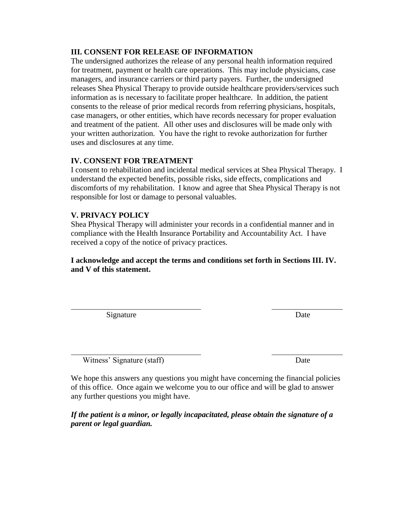#### **III. CONSENT FOR RELEASE OF INFORMATION**

The undersigned authorizes the release of any personal health information required for treatment, payment or health care operations. This may include physicians, case managers, and insurance carriers or third party payers. Further, the undersigned releases Shea Physical Therapy to provide outside healthcare providers/services such information as is necessary to facilitate proper healthcare. In addition, the patient consents to the release of prior medical records from referring physicians, hospitals, case managers, or other entities, which have records necessary for proper evaluation and treatment of the patient. All other uses and disclosures will be made only with your written authorization. You have the right to revoke authorization for further uses and disclosures at any time.

#### **IV. CONSENT FOR TREATMENT**

I consent to rehabilitation and incidental medical services at Shea Physical Therapy. I understand the expected benefits, possible risks, side effects, complications and discomforts of my rehabilitation. I know and agree that Shea Physical Therapy is not responsible for lost or damage to personal valuables.

#### **V. PRIVACY POLICY**

Shea Physical Therapy will administer your records in a confidential manner and in compliance with the Health Insurance Portability and Accountability Act. I have received a copy of the notice of privacy practices.

**I acknowledge and accept the terms and conditions set forth in Sections III. IV. and V of this statement.**

Signature Date

Witness' Signature (staff) Date

We hope this answers any questions you might have concerning the financial policies of this office. Once again we welcome you to our office and will be glad to answer any further questions you might have.

*If the patient is a minor, or legally incapacitated, please obtain the signature of a parent or legal guardian.*